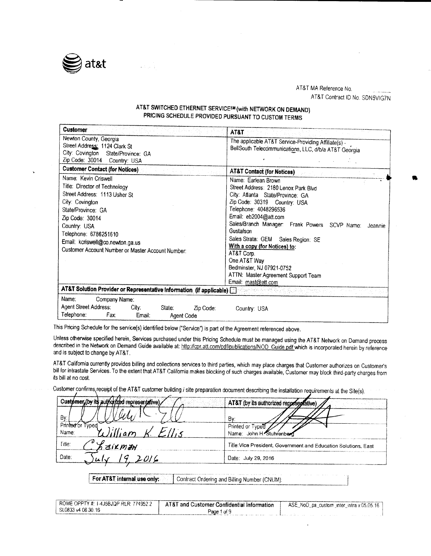

# AT&T MA Reference No,

AT&T Contract ID No. SDN5VIG7N

# AT&T SWITCHED ETHERNET SERVICESM (with NETWORK ON DEMAND) PRICING SCHEDULE PROVIDED PURSUANT TO CUSTOM TERMS

| <b>Customer</b>                                                                                                                                                                                                                                              | AT&T                                                                                                                                                                                                                                                                                                                     |  |
|--------------------------------------------------------------------------------------------------------------------------------------------------------------------------------------------------------------------------------------------------------------|--------------------------------------------------------------------------------------------------------------------------------------------------------------------------------------------------------------------------------------------------------------------------------------------------------------------------|--|
| Newton County, Georgia<br>Street Address: 1124 Clark St<br>City: Covington State/Province: GA<br>Zip Code: 30014 Country: USA                                                                                                                                | The applicable AT&T Service-Providing Affiliate(s) -<br>BellSouth Telecommunications, LLC, d/b/a AT&T Georgia                                                                                                                                                                                                            |  |
| <b>Customer Contact (for Notices)</b><br>Name: Kevin Criswell                                                                                                                                                                                                | <b>AT&amp;T Contact (for Notices)</b><br>Name: Earlean Brown                                                                                                                                                                                                                                                             |  |
| Title: Director of Technology<br>Street Address: 1113 Usher St<br>City: Covington<br>State/Province: GA<br>Zip Code: 30014<br>Country: USA<br>Telephone: 6786251610<br>Email: kcriswell@co.newton.ga.us<br>Customer Account Number or Master Account Number: | Street Address: 2180 Lenox Park Blvd<br>City: Atlanta State/Province: GA<br>Zip Code: 30319 Country: USA<br>Telephone: 4048296536<br>Email: eb2004@att.com<br>Sales/Branch Manager: Frank Powers SCVP Name:<br>Jeannie<br>Gustafson<br>Sales Strata: GEM Sales Region: SE<br>With a copy (for Notices) to:<br>AT&T Corp. |  |
|                                                                                                                                                                                                                                                              | One AT&T Way<br>Bedminster, NJ 07921-0752<br>ATTN: Master Agreement Support Team<br>Email: mast@att.com                                                                                                                                                                                                                  |  |
| AT&T Solution Provider or Representative Information (if applicable)                                                                                                                                                                                         |                                                                                                                                                                                                                                                                                                                          |  |
| Name:<br>Company Name:<br>Agent Street Address:<br>City:<br>State:<br>Zip Code:<br>Telephone:<br>Fax:<br>Email:<br>Agent Code                                                                                                                                | Country: USA                                                                                                                                                                                                                                                                                                             |  |

This Pricing Schedule for the service(s) identified below ("Service") is part of the Agreement referenced above.

Unless otherwise specified herein, Services purchased under this Pricing Schedule must be managed using the AT&T Network on Demand process described in the Network on Demand Guide available at: http://cpr.att.com/pdf/publications/NOD\_Guide.pdf which is incorporated herein by reference and is subject to change by AT&T.

AT&T California currently provides billing and collections services to third parties, which may place charges that Customer authorizes on Customer's bill for intrastate Services. To the extent that AT&T California makes blocking of such charges available, Customer may block third-party charges from its bill at no cost.

Customer confirms receipt of the AT&T customer building i site preparation document describing the installation requirements at the Site(s).

| Customer (by its authorized representative) | AT&T (by its authorized representative)                         |
|---------------------------------------------|-----------------------------------------------------------------|
| Bv.                                         | Bv                                                              |
| Printed or Typed<br>Name:                   | Printed or Typed<br>Name: John H. Stuhrenberg                   |
| Title:<br><b>GIRMAN</b>                     | Title: Vice President, Government and Education Solutions, East |
| Date:                                       | Date: July 29, 2016                                             |
|                                             |                                                                 |

For AT&T internal use only: Contract Ordering and Billing Number (CNUM):

| ROME OPPTY #: 1-4J5BJQP RLR: 774952.2 | . AT&T and Customer Confidential Information | ASE NoD ps custom inter intra v.05.05.16 |
|---------------------------------------|----------------------------------------------|------------------------------------------|
| SL0833 v4 06.30.16                    | Page<br>1 of 9                               |                                          |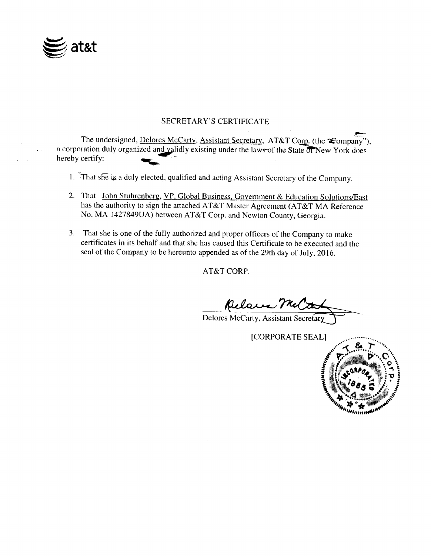

# SECRETARY'S CERTIFICATE

The undersigned, Delores McCarty, Assistant Secretary, AT&T Corp. (the 'Company"), a corporation duly organized and validly existing under the laws of the State of New York does hereby certify:

- 1. That she is <sup>a</sup> duly elected, qualified and acting Assistant Secretary of the Company.
- 2. That John Stuhrenberg, VP, Global Business, Government & Education Solutions/East has the authority to sign the attached AT&T Master Agreement (AT&T MA Reference No. MA 1427849UA) between AT&T Corp. and Newton County, Georgia.
- 3. That she is one of the fully authorized and proper officers of the Company to make certificates in its behalf and that she has caused this Certificate to be executed and the seal of the Company to be hereunto appended as of the 29th day of July, 2016.

AT&T CORP.

Relace McCarty<br>Delores McCarty, Assistant Secretary

CORPORATE SEALI

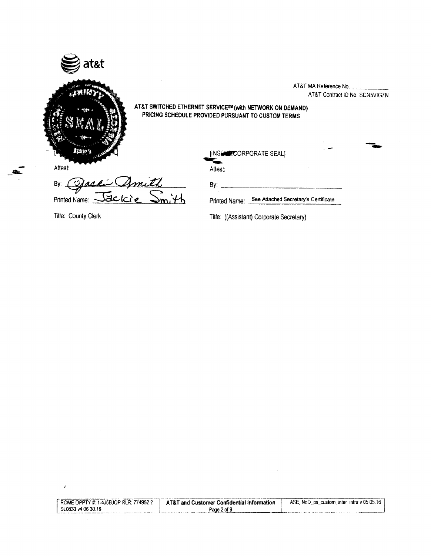

AT&T MA Reference No. AT&T Contract ID No. SDN5VIG7N

AT&T SWITCHED ETHERNET SERVICESW (with NETWORK ON DEMAND) PRICING SCHEDULE PROVIDED PURSUANT TO CUSTOM TERMS

| Attest:                                       | [INSERECORPORATE SEAL]<br>Attest:                            | <b>CAST</b> |
|-----------------------------------------------|--------------------------------------------------------------|-------------|
| Jacki Amith<br>By:<br>$P$ rinted Name: $\geq$ | B۷.<br>See Attached Secretary's Certificate<br>Printed Name: |             |

By:  $\overline{.}$ 

Title: County Clerk Title: ((Assistant) Corporate Secretary)

| ROME OPPTY #: 1-4J5BJQP RLR: 774952.2 | AT&T and Customer Confidential Information | ASE, NoD, ps. custom, inter-intra v 05.05.16 |
|---------------------------------------|--------------------------------------------|----------------------------------------------|
| SL0833 v4 06.30.16                    | Page 2 of 9                                |                                              |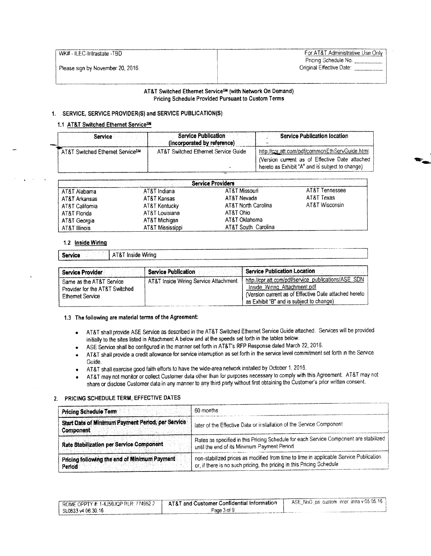# WK# - ILEC-Intrastate -TBD For AT&T Administrative Use Only Pricing Schedule No.<br>Original Effective Date:

#### AT&T Switched Ethernet Service<sup>sM</sup> (with Network On Demand) Pricing Schedule Provided Pursuant to Custom Terms

### 1. SERVICE, SERVICE PROVIDER(S) and SERVICE PUBLICATION(S)

### 1.1 AT&T Switched Ethernet ServiceSM

| Service                                      | <b>Service Publication</b>                                          | <b>Service Publication location</b>                                                              |  |
|----------------------------------------------|---------------------------------------------------------------------|--------------------------------------------------------------------------------------------------|--|
| AT&T Switched Ethernet Service <sup>SM</sup> | (incorporated by reference)<br>AT&T Switched Ethernet Service Guide | http://cor.att.com/pdf/commonEthServGuide.html                                                   |  |
|                                              |                                                                     | Version current as of Effective Date attached<br>hereto as Exhibit "A" and is subject to change) |  |

|                 |                  | <b>Service Providers</b> |                |
|-----------------|------------------|--------------------------|----------------|
| AT&T Alabama    | AT&T Indiana     | AT&T Missouri            | AT&T Tennessee |
| AT&T Arkansas   | AT&T Kansas      | AT&T Nevada              | AT&T Texas     |
| AT&T California | AT&T Kentucky    | AT&T North Carolina      | AT&T Wisconsin |
| AT&T Florida    | AT&T Louisiana   | AT&T Ohio                |                |
| AT&T Georgia    | AT&T Michigan    | AT&T Oklahoma            |                |
| AT&T Illinois   | AT&T Mississippi | AT&T South Carolina      |                |

#### 1.2 Inside Wiring

### Service **AT&T** Inside Wiring

| <b>Service Provider</b>                                                        | Service Publication                   | <b>Service Publication Location</b>                                                                                                                                                      |
|--------------------------------------------------------------------------------|---------------------------------------|------------------------------------------------------------------------------------------------------------------------------------------------------------------------------------------|
| Same as the AT&T Service<br>Provider for the AT&T Switched<br>Ethernet Service | AT&T Inside Wiring Service Attachment | http://cpr.att.com/pdf/service_publications/ASE_SDN<br>Inside Wiring Attachment.pdf<br>(Version current as of Effective Date attached hereto<br>as Exhibit "B" and is subject to change) |

#### 1.3 The following are material terms of the Agreement:

- AT&T shall provide ASE Service as described in the AT&T Switched Ethernet Service Guide attached. Services will be provided initially to the sites listed in Attachment A below and at the speeds set forth in the tables below.
- ASE Service shall be configured in the manner set forth in AT&T's RFP Response dated March 22, 2016.
- AT&T shall provide <sup>a</sup> credit allowance for service interruption as set forth in the service level commitment set forth in the Service Guide.
- AT&T shall exercise good faith efforts to have the wide-area network installed by October 1, 2016.
- AT&T may not monitor or collect Customer data other than for purposes necessary to comply with this Agreement. AT&T may not share or disclose Customer data in any manner to any third party without first obtaining the Customer's prior written consent.

### 2. PRICING SCHEDULE TERM, EFFECTIVE DATES

| 60 months<br><b>Pricing Schedule Term</b>                      |                                                                                                                                                                |  |
|----------------------------------------------------------------|----------------------------------------------------------------------------------------------------------------------------------------------------------------|--|
| Start Date of Minimum Payment Period, per Service<br>Component | later of the Effective Date or installation of the Service Component                                                                                           |  |
| Rate Stabilization per Service Component                       | Rates as specified in this Pricing Schedule for each Service Component are stabilized<br>until the end of its Minimum Payment Period.                          |  |
| Pricing following the end of Minimum Payment<br>Period         | non-stabilized prices as modified from time to time in applicable Service Publication<br>or, if there is no such pricing, the pricing in this Pricing Schedule |  |

| PROME OPPTY #: 1-4J58JQP RLR: 774952.2 | AT&T and Customer Confidential Information | ASE NoD ps custom inter intra v 05.05.16 |
|----------------------------------------|--------------------------------------------|------------------------------------------|
| $^{\circ}$ SL0833 v4 06.30.16          | Page 3 of 9                                |                                          |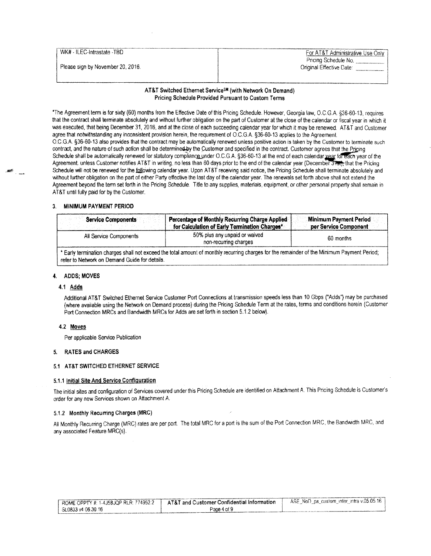| WK# - ILEC-Intrastate -TBD        |                                  |
|-----------------------------------|----------------------------------|
|                                   | For AT&T Administrative Use Only |
|                                   | Pricing Schedule No.             |
| Please sign by November 20, 2016. | Original Effective Date:         |
|                                   |                                  |
|                                   |                                  |

#### AT&T Switched Ethernet Service<sup>sM</sup> (with Network On Demand) Pricing Schedule Provided Pursuant to Custom Terrns

The Agreement term is for sixty( 60) months from the Effective Date of this Pricing Schedule. However, Georgia law, O. C. G. A.§ 36-60- 13, requires that the contract shall terminate absolutely and without further obligation on the part of Customer at the close of the calendar or fiscal year in which it was executed, that being December 31, 2016, and at the close of each succeeding calendar year for which it may be renewed. AT&T and Customer agree that notwithstanding any inconsistent provision herein, the requirement of O.C.G.A. § 36-60-13 applies to the Agreement. O.C. G.A.§ 36-60- 13 also provides that the contract may be automatically renewed unless positive action is taken by the Customer to terminate such contract, and the nature of such action shall be determined by the Customer and specified in the contract. Customer agrees that the Pricing Schedule shall be automatically renewed for statutory compliance under O.C.G.A. §36-60-13 at the end of each calendar vear for each year of the Agreement. unless Customer notifies AT&T in writing, no less than 60 days prior to the end of the calendar year (December 3730), that the Pricing Schedule will not be renewed for the following calendar year. Upon AT&T receiving said notice, the Pricing Schedule shall terminate absolutely and without further obligation on the part of either Party effective the last day of the calendar year. The renewals set forth above shall not extend the Agreement beyond the term set forth in the Pricing Schedule. Title to any supplies, materials, equipment, or other personal property shall remain in AT&T until fully paid for by the Customer.

#### 3. MINIMUM PAYMENT PERIOD

| <b>Service Components</b>                                                                                                                                                                    | Percentage of Monthly Recurring Charge Applied<br>for Calculation of Early Termination Charges* | <b>Minimum Payment Period</b><br>per Service Component |
|----------------------------------------------------------------------------------------------------------------------------------------------------------------------------------------------|-------------------------------------------------------------------------------------------------|--------------------------------------------------------|
| All Service Components                                                                                                                                                                       | 50% plus any unpaid or waived<br>non-recurring charges                                          | 60 months                                              |
| * Early termination charges shall not exceed the total amount of monthly recurring charges for the remainder of the Minimum Payment Period;<br>refer to Network on Demand Guide for details. |                                                                                                 |                                                        |

#### 4, ADDS; MOVES

### 4.1 Adds

Additional AT&T Switched Ethernet Service Customer Port Connections at transmission speeds less than 10 Gbps(" Adds") may be purchased where available using the Network on Demand process) during the Pricing Schedule Term at the rates, terms and conditions herein ( Customer Port Connection MRCs and Bandwidth MRCs for Adds are set forth in section 5.1.2 below).

#### 4,2 Moves

Per applicable Service Publication

#### 5. RATES and CHARGES

#### 5.1 AT&T SWITCHED ETHERNET SERVICE

#### 5. 1. <sup>1</sup> initial Site And Service Configuration

The initial sites and configuration of Services covered under this Pricing Schedule are identified on Attachment A. This Pricing Schedule is Customer's order for any new Services shown on Attachment A.

#### 5.1.2 Monthly Recurring Charges (MRC)

All Monthly Recurring Charge (MRC) rates are per port. The total MRC for a port is the sum of the Port Connection MRC, the Bandwidth MRC, and any associated Feature MRC(s)-

| PROME OPPTY #: 1-4J5BJQP RLR: 774952.2 | AT&T and Customer Confidential Information. | ASE NoD ps. custom inter intra v.05.05.16 |
|----------------------------------------|---------------------------------------------|-------------------------------------------|
| $\frac{1}{2}$ SL0833 v4 06.30.16       | Page 4 of 9                                 |                                           |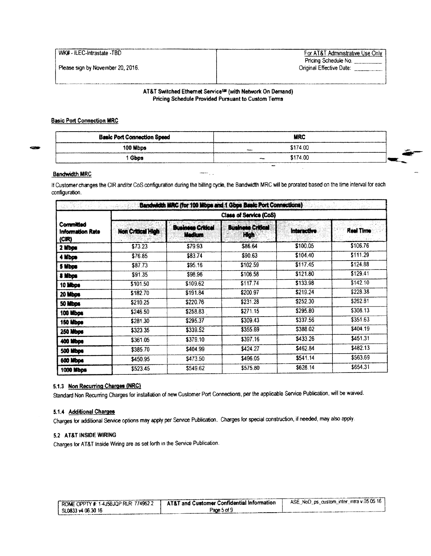|  | WK# - ILEC-Intrastate -TBD |  |
|--|----------------------------|--|
|--|----------------------------|--|

For AT&T Administrative Use Only Pricing Schedule No.<br>Original Effective Date:

 $\mathcal{L}_{\mathcal{A}}$ 

#### AT&T Switched Ethernet Service<sup>s®</sup> (with Network On Demand) Pricing Schedule Provided Pursuant to Custom Terms

### Basic Port Connection MRC

| <b>Basic Port Connection Speed</b> |              | <b>MRC</b> |  |
|------------------------------------|--------------|------------|--|
| 100 Mbps                           | <b>Phone</b> | \$174.00   |  |
| Gbos                               |              | \$174.00   |  |
|                                    | $-4$         |            |  |

### Bandwidth MRC

If Customer changes the CIR and/or CoS configuration during the billing cycle, the Bandwidth MRC will be prorated based on the time interval for each configuration.

ن بنيا

|                                        | Class of Service (CoS) |                                    |                                  |                    |                  |  |  |  |
|----------------------------------------|------------------------|------------------------------------|----------------------------------|--------------------|------------------|--|--|--|
| Committed<br>Information Rate<br>(CIR) | Non Critical High      | <b>Business Critical</b><br>Medium | <b>Business Critical</b><br>High | <b>Interactive</b> | <b>Real Time</b> |  |  |  |
| 2 Mbps                                 | \$73.23                | \$79.93                            | \$86.64                          | \$100.05           | \$106.76         |  |  |  |
| 4 Mbps                                 | \$76.85                | \$83.74                            | \$90.63                          | \$104.40           | \$111.29         |  |  |  |
| 5 Mbps                                 | \$87.73                | \$95.16                            | \$102.59                         | \$117.45           | \$124.88         |  |  |  |
| 8 Mbps                                 | \$91.35                | \$98.96                            | \$106.58                         | \$121.80           | \$129.41         |  |  |  |
| 10 Mbps                                | \$101.50               | \$109.62                           | \$117.74                         | \$133.98           | \$142.10         |  |  |  |
| 20 Mbps                                | \$182.70               | \$191.84                           | \$200.97                         | \$219.24           | \$228.38         |  |  |  |
| 50 Mibps                               | \$210.25               | \$220.76                           | \$231.28                         | \$252.30           | \$262.81         |  |  |  |
| 100 Mbps                               | \$246.50               | \$258.83                           | \$271.15                         | \$295.80           | \$308.13         |  |  |  |
| 150 Mbps                               | \$281.30               | \$295.37                           | \$309.43                         | \$337.56           | \$351.63         |  |  |  |
| 250 Mbps                               | \$323.35               | \$339.52                           | \$355.69                         | \$388.02           | \$404.19         |  |  |  |
| <b>400 Mbps</b>                        | \$361.05               | \$379.10                           | \$397.16                         | \$433.26           | \$451.31         |  |  |  |
| <b>500 Mbps</b>                        | \$385.70               | \$404.99                           | \$424.27                         | \$462.84           | \$482.13         |  |  |  |
| 600 Mbps                               | \$450.95               | \$473.50                           | \$496.05                         | \$541.14           | \$563.69         |  |  |  |
| 1000 Mbps                              | \$523.45               | \$549.62                           | \$575.80                         | \$628.14           | \$654.31         |  |  |  |

### 5.1.3 Non Recurring Charges (NRC)

Standard Non Recurring Charges for installation of new Customer Port Connections, per the applicable Service Publication, will be waived.

#### 5. 1. 4 Additional Charges

Charges for additional Service options may apply per Service Publication. Charges for special construction, if needed, may also apply.

#### 5.2 AT&T INSIDE WIRING

Charges for AT&T Inside Wiring are as set forth in the Service Publication.

| 1 ROME OPPTY #: 1-4J5BJQP RLR: 774952.2 | AT&T and Customer Confidential Information | ASE_NoD_ps_custom_inter_intra v.05.05.16 |
|-----------------------------------------|--------------------------------------------|------------------------------------------|
| $^{\prime}$ SL0833 v4 06.30 16          | Page 5 of 9                                |                                          |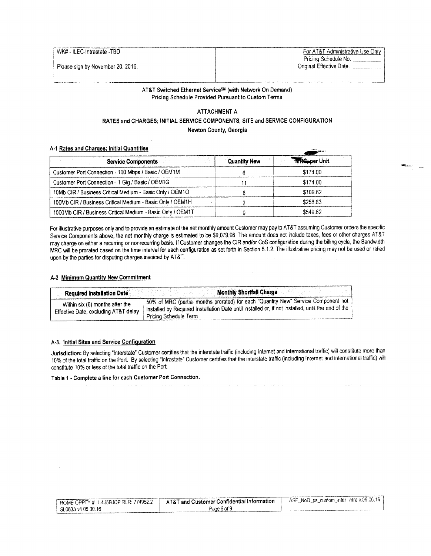WK# - ILEC-Intrastate - TBD For AT&T Administrative Use Only Pricing Schedule No. \_\_\_\_\_\_\_\_\_\_\_<br>Original Effective Date:

### AT&T Switched Ethernet Service<sup>sM</sup> (with Network On Demand) Pricing Schedule Provided Pursuant to Custom Terms

## ATTACHMENT A RATES and CHARGES; INITIAL SERVICE COMPONENTS, SITE and SERVICE CONFIGURATION Newton County, Georgia

#### A-1 Rates and Charges; Initial Quantities

| <b>Service Components</b>                                  | <b>Quantity New</b> | <b>Three-per Unit</b> |
|------------------------------------------------------------|---------------------|-----------------------|
| Customer Port Connection - 100 Mbps / Basic / OEM1M        |                     | \$174.00              |
| Customer Port Connection - 1 Gig / Basic / OEM1G           |                     | \$174.00              |
| 10Mb CIR / Business Critical Medium - Basic Only / OEM1O   |                     | \$109.62              |
| 100Mb CIR / Business Critical Medium - Basic Only / OEM1H  |                     | \$258.83              |
| 1000Mb CIR / Business Critical Medium - Basic Only / OEM1T |                     | \$549.62              |

For illustrative purposes only and to provide an estimate of the net monthly amount Customer may pay to AT&T assuming Customer orders the specific Service Components above, the net monthly charge is estimated to be \$9,079.96. The amount does not include taxes, fees or other charges AT&T may charge on either a recurring or nonrecurring basis. If Customer changes the C may charge on either a recurring or nonrecurring basis. If Customer changes the CIR and/or CoS configuration during the billing cycle, the Bandwidth MRC will be prorated based on the time interval for each configuration as set forth in Section 5.1.2. The illustrative pricing may not be used or relied upon by the parties for disputing charges invoiced by AT&T.

#### A-2 Minimum Quantity New Commitment

| <b>Required Installation Date</b>                                       | <b>Monthly Shortfall Charge</b>                                                                                                                                                                                     |
|-------------------------------------------------------------------------|---------------------------------------------------------------------------------------------------------------------------------------------------------------------------------------------------------------------|
| Within six (6) months after the<br>Effective Date, excluding AT&T delay | 50% of MRC (partial months prorated) for each "Quantity New" Service Component not<br>I installed by Required Installation Date until installed or, if not installed, until the end of the<br>Pricing Schedule Term |

# A-3. Initial Sites and Service Configuration

Jurisdiction: By selecting" Interstate" Customer certifies that the interstate traffic( including Internet and international traffic) will constitute more than 10% of the total traffic on the Port. By selecting" Intrastate" Customer certifies that the interstate traffic( including Internet and international traffic) will constitute 10% or less of the total traffic on the Port,

Table 1 - Complete a line for each Customer Port Connection.

| " ROME OPPTY #: 1-4J5BJQP RLR: 774952.2 | <b>AT&amp;T</b> and Customer Confidential Information | ASE_NoD_ps_custom_inter_intra v.05.05.16, |
|-----------------------------------------|-------------------------------------------------------|-------------------------------------------|
| $^{\circ}$ SL0833 v4 06.30.16           | Pace 6 of 9                                           |                                           |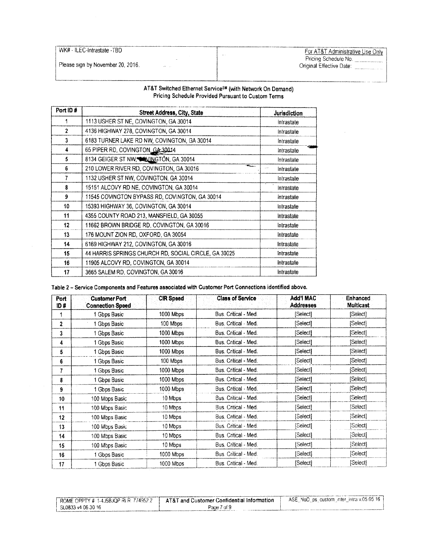WK# - ILEC-Intrastate - TBD

Please sign by November 20, 2016.

Far AT&T Administrative Use Only Pricing Schedule

|  |  |  |  | AT&T Switched Ethernet Service <sup>s#</sup> (with Network On Demand) |  |  |  |
|--|--|--|--|-----------------------------------------------------------------------|--|--|--|
|  |  |  |  | Pricing Schedule Provided Pursuant to Custom Terms                    |  |  |  |

 $\bar{\mathcal{L}}$ 

i<br>international

| Port ID#         | Street Address, City, State                          | Jurisdiction |
|------------------|------------------------------------------------------|--------------|
|                  | 1113 USHER ST NE, COVINGTON, GA 30014                | Intrastate   |
| $\overline{2}$   | 4136 HIGHWAY 278, COVINGTON, GA 30014                | Intrastate   |
| 3                | 6183 TURNER LAKE RD NW, COVINGTON, GA 30014          | Intrastate   |
| 4                | 65 PIPER RD, COVINGTON, GA 30014                     | Intrastate   |
| 5                | 8134 GEIGER ST NW, WAYINGTON, GA 30014               | Intrastate   |
| 6                | ستعد<br>210 LOWER RIVER RD, COVINGTON, GA 30016      | Intrastate   |
| 7                | 1132 USHER ST NW, COVINGTON, GA 30014                | Intrastate   |
| 8                | 15151 ALCOVY RD NE, COVINGTON, GA 30014              | Intrastate   |
| 9                | 11545 COVINGTON BYPASS RD, COVINGTON, GA 30014       | Intrastate   |
| 10 <sub>10</sub> | 15393 HIGHWAY 36, COVINGTON, GA 30014                | Intrastate   |
| 11               | 4355 COUNTY ROAD 213, MANSFIELD, GA 30055            | Intrastate   |
| 12 <sub>2</sub>  | 11662 BROWN BRIDGE RD, COVINGTON, GA 30016           | Intrastate   |
| 13               | 176 MOUNT ZION RD, OXFORD, GA 30054                  | Intrastate   |
| 14               | 6169 HIGHWAY 212, COVINGTON, GA 30016                | Intrastate   |
| 15               | 44 HARRIS SPRINGS CHURCH RD, SOCIAL CIRCLE, GA 30025 | Intrastate   |
| 16               | 11905 ALCOVY RD, COVINGTON, GA 30014                 | Intrastate   |
| 17               | 3665 SALEM RD, COVINGTON, GA 30016                   | Intrastate   |

Table 2- Service Components and Features associated with Customer Port Connections identified above.

| Port | <b>Customer Port</b>    | <b>CIR Speed</b> | <b>Class of Service</b> | <b>Add'l MAC</b> | Enhanced         |
|------|-------------------------|------------------|-------------------------|------------------|------------------|
| ID#  | <b>Connection Speed</b> |                  |                         | <b>Addresses</b> | <b>Multicast</b> |
|      | Gbps Basic              | 1000 Mbps        | Bus. Critical - Med.    | [Select]         | [Select]         |
| 2    | Gbps Basic              | 100 Mbps         | Bus. Critical - Med.    | [Select]         | [Select]         |
| 3    | Gbps Basic              | 1000 Mbps        | Bus. Critical - Med.    | [Select]         | [Select]         |
| 4    | 1 Gbps Basic            | 1000 Mbps        | Bus. Critical - Med.    | [Select]         | [Select]         |
| 5    | 1 Gbps Basic            | 1000 Mbps        | Bus. Critical - Med.    | [Select]         | [Select]         |
| 6    | 1 Gbps Basic            | 100 Mbps         | Bus. Critical - Med.    | [Select]         | [Select]         |
| 7    | 1 Gbps Basic            | 1000 Mbps        | Bus. Critical - Med.    | [Select]         | [Select]         |
| 8    | 1 Gbps Basic            | 1000 Mbps        | Bus. Critical - Med.    | [Select]         | [Select]         |
| 9    | 1 Gbps Basic            | 1000 Mbps        | Bus. Critical - Med.    | [Select]         | [Select]         |
| 10   | 100 Mbps Basic          | 10 Mbps          | Bus. Critical - Med.    | [Select]         | [Select]         |
| 11   | 100 Mbps Basic          | 10 Mbps          | Bus. Critical - Med.    | [Select]         | [Select]         |
| 12   | 100 Mbps Basic          | 10 Mbps          | Bus. Critical - Med.    | [Select]         | (Select]         |
| 13   | 100 Mbus Basic          | 10 Mbps          | Bus. Critical - Med.    | [Select]         | [Select]         |
| 14   | 100 Mbps Basic          | 10 Mbps          | Bus. Critical - Med.    | [Select]         | [Select]         |
| 15   | 100 Mbps Basic          | 10 Mbps          | Bus. Critical - Med.    | [Select]         | [Select]         |
| 16   | 1 Gbps Basic            | 1000 Mbps        | Bus. Critical - Med.    | [Select]         | [Select]         |
| 17   | 1 Gbps Basic            | 1000 Mbps        | Bus. Critical - Med.    | [Select]         | [Select]         |

| $+$ ROME OPPTY # 1-4J5BJQP RLR: 774952.2 | ' AT&T and Customer Confidential Information | ASE NoD ps custom inter intra v.05.05.16 $\pm$ |
|------------------------------------------|----------------------------------------------|------------------------------------------------|
| SL0833 v4 06.30 16                       | Page 7 of 9                                  |                                                |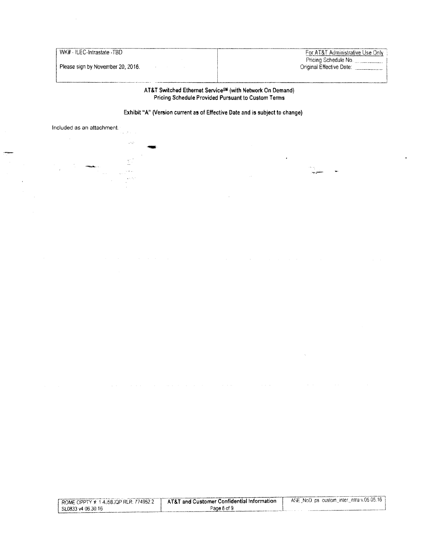Please sign by November 20, 2016. Original Effective Date: ---------........

WK# - ILEC-Intrastate -TBD For AT&T Administrative Use Only Pricing Schedule No. \_\_\_\_\_\_\_\_\_\_\_\_\_\_\_ |\_

### AT&T Switched Ethernet Service<sup>sM</sup> (with Network On Demand) Pricing Schedule Provided Pursuant to Custom Terms

# Exhibit "A" (Version current as of Effective Date and is subject to change)



| ROME OPPTY #: 1.4J5BJQP RLR: 774952.2 | $\blacksquare$ AT&T and Customer Confidential Information $\blacksquare$ | ASE NoD ps custom inter intra v.05.05.16 |
|---------------------------------------|--------------------------------------------------------------------------|------------------------------------------|
| SL0833 v4 06:30.16                    | Page 8 of 9                                                              |                                          |